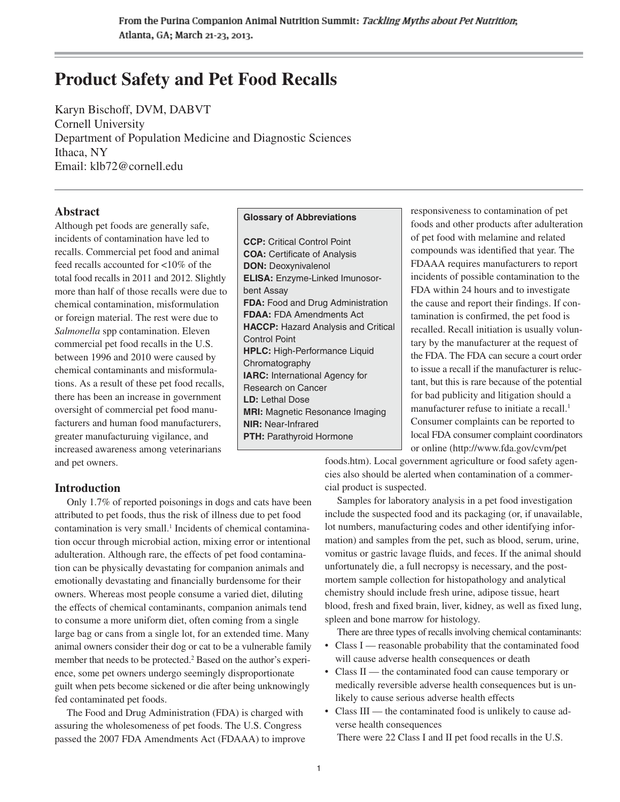# **Product Safety and Pet Food Recalls**

Karyn Bischoff, DVM, DABVT Cornell University Department of Population Medicine and Diagnostic Sciences Ithaca, NY Email: klb72@cornell.edu

# **Abstract**

Although pet foods are generally safe, incidents of contamination have led to recalls. Commercial pet food and animal feed recalls accounted for <10% of the total food recalls in 2011 and 2012. Slightly more than half of those recalls were due to chemical contamination, misformulation or foreign material. The rest were due to *Salmonella* spp contamination. Eleven commercial pet food recalls in the U.S. between 1996 and 2010 were caused by chemical contaminants and misformulations. As a result of these pet food recalls, there has been an increase in government oversight of commercial pet food manufacturers and human food manufacturers, greater manufacturuing vigilance, and increased awareness among veterinarians and pet owners.

# **Introduction**

Only 1.7% of reported poisonings in dogs and cats have been attributed to pet foods, thus the risk of illness due to pet food contamination is very small.<sup>1</sup> Incidents of chemical contamination occur through microbial action, mixing error or intentional adulteration. Although rare, the effects of pet food contamination can be physically devastating for companion animals and emotionally devastating and financially burdensome for their owners. Whereas most people consume a varied diet, diluting the effects of chemical contaminants, companion animals tend to consume a more uniform diet, often coming from a single large bag or cans from a single lot, for an extended time. Many animal owners consider their dog or cat to be a vulnerable family member that needs to be protected.<sup>2</sup> Based on the author's experience, some pet owners undergo seemingly disproportionate guilt when pets become sickened or die after being unknowingly fed contaminated pet foods.

The Food and Drug Administration (FDA) is charged with assuring the wholesomeness of pet foods. The U.S. Congress passed the 2007 FDA Amendments Act (FDAAA) to improve

#### **Glossary of Abbreviations**

**CCP:** Critical Control Point **COA:** Certificate of Analysis **DON:** Deoxynivalenol **ELISA:** Enzyme-Linked Imunosorbent Assay **FDA:** Food and Drug Administration **FDAA:** FDA Amendments Act **HACCP:** Hazard Analysis and Critical Control Point **HPLC:** High-Performance Liquid Chromatography **IARC:** International Agency for Research on Cancer **LD:** Lethal Dose **MRI:** Magnetic Resonance Imaging **NIR:** Near-Infrared **PTH:** Parathyroid Hormone

responsiveness to contamination of pet foods and other products after adulteration of pet food with melamine and related compounds was identified that year. The FDAAA requires manufacturers to report incidents of possible contamination to the FDA within 24 hours and to investigate the cause and report their findings. If contamination is confirmed, the pet food is recalled. Recall initiation is usually voluntary by the manufacturer at the request of the FDA. The FDA can secure a court order to issue a recall if the manufacturer is reluctant, but this is rare because of the potential for bad publicity and litigation should a manufacturer refuse to initiate a recall.<sup>1</sup> Consumer complaints can be reported to local FDA consumer complaint coordinators or online (http://www.fda.gov/cvm/pet

foods.htm). Local government agriculture or food safety agencies also should be alerted when contamination of a commercial product is suspected.

Samples for laboratory analysis in a pet food investigation include the suspected food and its packaging (or, if unavailable, lot numbers, manufacturing codes and other identifying information) and samples from the pet, such as blood, serum, urine, vomitus or gastric lavage fluids, and feces. If the animal should unfortunately die, a full necropsy is necessary, and the postmortem sample collection for histopathology and analytical chemistry should include fresh urine, adipose tissue, heart blood, fresh and fixed brain, liver, kidney, as well as fixed lung, spleen and bone marrow for histology.

There are three types of recalls involving chemical contaminants:

- Class I reasonable probability that the contaminated food will cause adverse health consequences or death
- Class II the contaminated food can cause temporary or medically reversible adverse health consequences but is unlikely to cause serious adverse health effects
- Class III the contaminated food is unlikely to cause adverse health consequences There were 22 Class I and II pet food recalls in the U.S.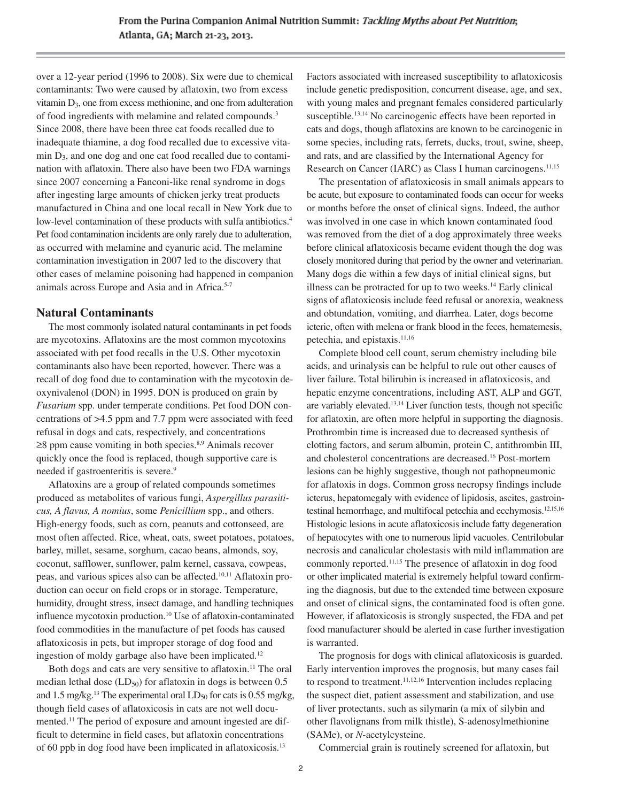over a 12-year period (1996 to 2008). Six were due to chemical contaminants: Two were caused by aflatoxin, two from excess vitamin D3, one from excess methionine, and one from adulteration of food ingredients with melamine and related compounds.3 Since 2008, there have been three cat foods recalled due to inadequate thiamine, a dog food recalled due to excessive vitamin  $D_3$ , and one dog and one cat food recalled due to contamination with aflatoxin. There also have been two FDA warnings since 2007 concerning a Fanconi-like renal syndrome in dogs after ingesting large amounts of chicken jerky treat products manufactured in China and one local recall in New York due to low-level contamination of these products with sulfa antibiotics.<sup>4</sup> Pet food contamination incidents are only rarely due to adulteration, as occurred with melamine and cyanuric acid. The melamine contamination investigation in 2007 led to the discovery that other cases of melamine poisoning had happened in companion animals across Europe and Asia and in Africa.<sup>5-7</sup>

#### **Natural Contaminants**

The most commonly isolated natural contaminants in pet foods are mycotoxins. Aflatoxins are the most common mycotoxins associated with pet food recalls in the U.S. Other mycotoxin contaminants also have been reported, however. There was a recall of dog food due to contamination with the mycotoxin deoxynivalenol (DON) in 1995. DON is produced on grain by *Fusarium* spp. under temperate conditions. Pet food DON concentrations of >4.5 ppm and 7.7 ppm were associated with feed refusal in dogs and cats, respectively, and concentrations  $\geq$ 8 ppm cause vomiting in both species.<sup>8,9</sup> Animals recover quickly once the food is replaced, though supportive care is needed if gastroenteritis is severe.<sup>9</sup>

Aflatoxins are a group of related compounds sometimes produced as metabolites of various fungi, *Aspergillus parasiticus, A flavus, A nomius*, some *Penicillium* spp., and others. High-energy foods, such as corn, peanuts and cottonseed, are most often affected. Rice, wheat, oats, sweet potatoes, potatoes, barley, millet, sesame, sorghum, cacao beans, almonds, soy, coconut, safflower, sunflower, palm kernel, cassava, cowpeas, peas, and various spices also can be affected.10,11 Aflatoxin production can occur on field crops or in storage. Temperature, humidity, drought stress, insect damage, and handling techniques influence mycotoxin production.10 Use of aflatoxin-contaminated food commodities in the manufacture of pet foods has caused aflatoxicosis in pets, but improper storage of dog food and ingestion of moldy garbage also have been implicated.12

Both dogs and cats are very sensitive to aflatoxin.<sup>11</sup> The oral median lethal dose  $(LD_{50})$  for aflatoxin in dogs is between 0.5 and 1.5 mg/kg.<sup>13</sup> The experimental oral  $LD_{50}$  for cats is 0.55 mg/kg, though field cases of aflatoxicosis in cats are not well documented.11 The period of exposure and amount ingested are difficult to determine in field cases, but aflatoxin concentrations of 60 ppb in dog food have been implicated in aflatoxicosis.13

Factors associated with increased susceptibility to aflatoxicosis include genetic predisposition, concurrent disease, age, and sex, with young males and pregnant females considered particularly susceptible.<sup>13,14</sup> No carcinogenic effects have been reported in cats and dogs, though aflatoxins are known to be carcinogenic in some species, including rats, ferrets, ducks, trout, swine, sheep, and rats, and are classified by the International Agency for Research on Cancer (IARC) as Class I human carcinogens.<sup>11,15</sup>

The presentation of aflatoxicosis in small animals appears to be acute, but exposure to contaminated foods can occur for weeks or months before the onset of clinical signs. Indeed, the author was involved in one case in which known contaminated food was removed from the diet of a dog approximately three weeks before clinical aflatoxicosis became evident though the dog was closely monitored during that period by the owner and veterinarian. Many dogs die within a few days of initial clinical signs, but illness can be protracted for up to two weeks.14 Early clinical signs of aflatoxicosis include feed refusal or anorexia, weakness and obtundation, vomiting, and diarrhea. Later, dogs become icteric, often with melena or frank blood in the feces, hematemesis, petechia, and epistaxis.<sup>11,16</sup>

Complete blood cell count, serum chemistry including bile acids, and urinalysis can be helpful to rule out other causes of liver failure. Total bilirubin is increased in aflatoxicosis, and hepatic enzyme concentrations, including AST, ALP and GGT, are variably elevated.13,14 Liver function tests, though not specific for aflatoxin, are often more helpful in supporting the diagnosis. Prothrombin time is increased due to decreased synthesis of clotting factors, and serum albumin, protein C, antithrombin III, and cholesterol concentrations are decreased.16 Post-mortem lesions can be highly suggestive, though not pathopneumonic for aflatoxis in dogs. Common gross necropsy findings include icterus, hepatomegaly with evidence of lipidosis, ascites, gastrointestinal hemorrhage, and multifocal petechia and ecchymosis.12,15,16 Histologic lesions in acute aflatoxicosis include fatty degeneration of hepatocytes with one to numerous lipid vacuoles. Centrilobular necrosis and canalicular cholestasis with mild inflammation are commonly reported.11,15 The presence of aflatoxin in dog food or other implicated material is extremely helpful toward confirming the diagnosis, but due to the extended time between exposure and onset of clinical signs, the contaminated food is often gone. However, if aflatoxicosis is strongly suspected, the FDA and pet food manufacturer should be alerted in case further investigation is warranted.

The prognosis for dogs with clinical aflatoxicosis is guarded. Early intervention improves the prognosis, but many cases fail to respond to treatment. $11,12,16$  Intervention includes replacing the suspect diet, patient assessment and stabilization, and use of liver protectants, such as silymarin (a mix of silybin and other flavolignans from milk thistle), S-adenosylmethionine (SAMe), or *N*-acetylcysteine.

Commercial grain is routinely screened for aflatoxin, but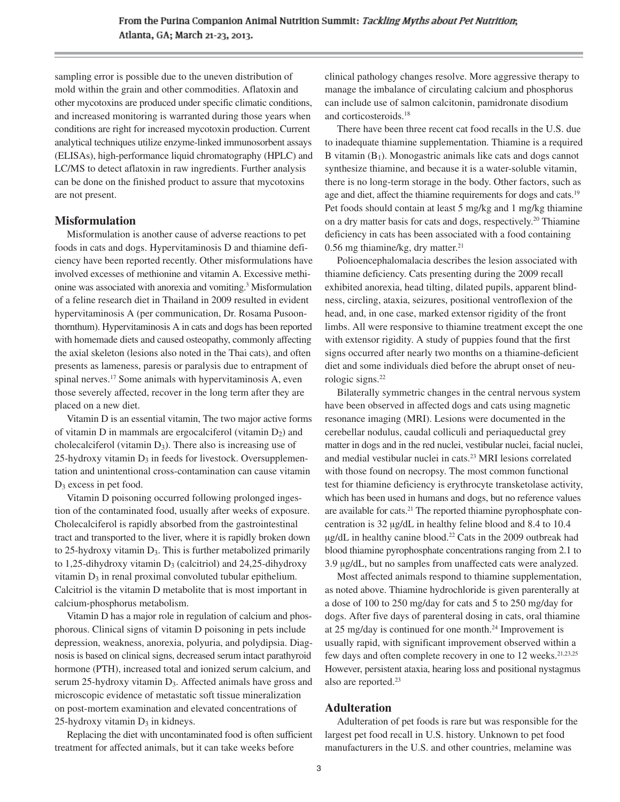sampling error is possible due to the uneven distribution of mold within the grain and other commodities. Aflatoxin and other mycotoxins are produced under specific climatic conditions, and increased monitoring is warranted during those years when conditions are right for increased mycotoxin production. Current analytical techniques utilize enzyme-linked immunosorbent assays (ELISAs), high-performance liquid chromatography (HPLC) and LC/MS to detect aflatoxin in raw ingredients. Further analysis can be done on the finished product to assure that mycotoxins are not present.

#### **Misformulation**

Misformulation is another cause of adverse reactions to pet foods in cats and dogs. Hypervitaminosis D and thiamine deficiency have been reported recently. Other misformulations have involved excesses of methionine and vitamin A. Excessive methi onine was associated with anorexia and vomiting.3 Misformulation of a feline research diet in Thailand in 2009 resulted in evident hypervitaminosis A (per communication, Dr. Rosama Pusoonthornthum). Hypervitaminosis A in cats and dogs has been reported with homemade diets and caused osteopathy, commonly affecting the axial skeleton (lesions also noted in the Thai cats), and often presents as lameness, paresis or paralysis due to entrapment of spinal nerves.<sup>17</sup> Some animals with hypervitaminosis A, even those severely affected, recover in the long term after they are placed on a new diet.

Vitamin D is an essential vitamin, The two major active forms of vitamin D in mammals are ergocalciferol (vitamin  $D_2$ ) and cholecalciferol (vitamin  $D_3$ ). There also is increasing use of  $25$ -hydroxy vitamin  $D_3$  in feeds for livestock. Oversupplementation and unintentional cross-contamination can cause vitamin D3 excess in pet food.

Vitamin D poisoning occurred following prolonged ingestion of the contaminated food, usually after weeks of exposure. Cholecalciferol is rapidly absorbed from the gastrointestinal tract and transported to the liver, where it is rapidly broken down to 25-hydroxy vitamin  $D_3$ . This is further metabolized primarily to 1,25-dihydroxy vitamin  $D_3$  (calcitriol) and 24,25-dihydroxy vitamin D<sub>3</sub> in renal proximal convoluted tubular epithelium. Calcitriol is the vitamin D metabolite that is most important in calcium-phosphorus metabolism.

Vitamin D has a major role in regulation of calcium and phosphorous. Clinical signs of vitamin D poisoning in pets include depression, weakness, anorexia, polyuria, and polydipsia. Diagnosis is based on clinical signs, decreased serum intact parathyroid hormone (PTH), increased total and ionized serum calcium, and serum 25-hydroxy vitamin D<sub>3</sub>. Affected animals have gross and microscopic evidence of metastatic soft tissue mineralization on post-mortem examination and elevated concentrations of 25-hydroxy vitamin  $D_3$  in kidneys.

Replacing the diet with uncontaminated food is often sufficient treatment for affected animals, but it can take weeks before

clinical pathology changes resolve. More aggressive therapy to manage the imbalance of circulating calcium and phosphorus can include use of salmon calcitonin, pamidronate disodium and corticosteroids.18

There have been three recent cat food recalls in the U.S. due to inadequate thiamine supplementation. Thiamine is a required B vitamin  $(B_1)$ . Monogastric animals like cats and dogs cannot synthesize thiamine, and because it is a water-soluble vitamin, there is no long-term storage in the body. Other factors, such as age and diet, affect the thiamine requirements for dogs and cats.<sup>19</sup> Pet foods should contain at least 5 mg/kg and 1 mg/kg thiamine on a dry matter basis for cats and dogs, respectively.20 Thiamine deficiency in cats has been associated with a food containing  $0.56$  mg thiamine/kg, dry matter.<sup>21</sup>

Polioencephalomalacia describes the lesion associated with thiamine deficiency. Cats presenting during the 2009 recall exhibited anorexia, head tilting, dilated pupils, apparent blindness, circling, ataxia, seizures, positional ventroflexion of the head, and, in one case, marked extensor rigidity of the front limbs. All were responsive to thiamine treatment except the one with extensor rigidity. A study of puppies found that the first signs occurred after nearly two months on a thiamine-deficient diet and some individuals died before the abrupt onset of neurologic signs.<sup>22</sup>

Bilaterally symmetric changes in the central nervous system have been observed in affected dogs and cats using magnetic resonance imaging (MRI). Lesions were documented in the cerebellar nodulus, caudal colliculi and periaqueductal grey matter in dogs and in the red nuclei, vestibular nuclei, facial nuclei, and medial vestibular nuclei in cats.23 MRI lesions correlated with those found on necropsy. The most common functional test for thiamine deficiency is erythrocyte transketolase activity, which has been used in humans and dogs, but no reference values are available for cats.21 The reported thiamine pyrophosphate concentration is 32 μg/dL in healthy feline blood and 8.4 to 10.4  $\mu$ g/dL in healthy canine blood.<sup>22</sup> Cats in the 2009 outbreak had blood thiamine pyrophosphate concentrations ranging from 2.1 to 3.9 μg/dL, but no samples from unaffected cats were analyzed.

Most affected animals respond to thiamine supplementation, as noted above. Thiamine hydrochloride is given parenterally at a dose of 100 to 250 mg/day for cats and 5 to 250 mg/day for dogs. After five days of parenteral dosing in cats, oral thiamine at 25 mg/day is continued for one month.<sup>24</sup> Improvement is usually rapid, with significant improvement observed within a few days and often complete recovery in one to 12 weeks.<sup>21,23,25</sup> However, persistent ataxia, hearing loss and positional nystagmus also are reported.23

### **Adulteration**

Adulteration of pet foods is rare but was responsible for the largest pet food recall in U.S. history. Unknown to pet food manufacturers in the U.S. and other countries, melamine was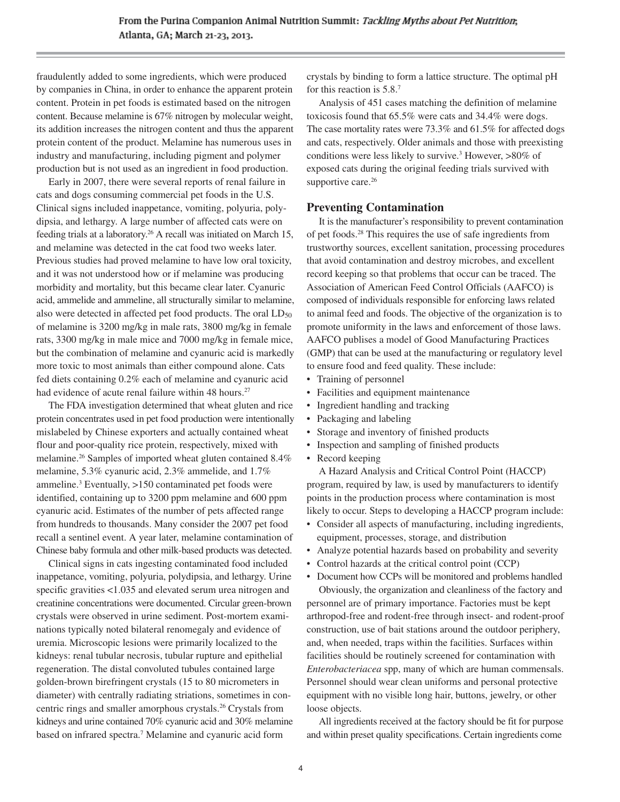fraudulently added to some ingredients, which were produced by companies in China, in order to enhance the apparent protein content. Protein in pet foods is estimated based on the nitrogen content. Because melamine is 67% nitrogen by molecular weight, its addition increases the nitrogen content and thus the apparent protein content of the product. Melamine has numerous uses in industry and manufacturing, including pigment and polymer production but is not used as an ingredient in food production.

Early in 2007, there were several reports of renal failure in cats and dogs consuming commercial pet foods in the U.S. Clinical signs included inappetance, vomiting, polyuria, polydipsia, and lethargy. A large number of affected cats were on feeding trials at a laboratory.26 A recall was initiated on March 15, and melamine was detected in the cat food two weeks later. Previous studies had proved melamine to have low oral toxicity, and it was not understood how or if melamine was producing morbidity and mortality, but this became clear later. Cyanuric acid, ammelide and ammeline, all structurally similar to melamine, also were detected in affected pet food products. The oral  $LD_{50}$ of melamine is 3200 mg/kg in male rats, 3800 mg/kg in female rats, 3300 mg/kg in male mice and 7000 mg/kg in female mice, but the combination of melamine and cyanuric acid is markedly more toxic to most animals than either compound alone. Cats fed diets containing 0.2% each of melamine and cyanuric acid had evidence of acute renal failure within 48 hours.<sup>27</sup>

The FDA investigation determined that wheat gluten and rice protein concentrates used in pet food production were intentionally mislabeled by Chinese exporters and actually contained wheat flour and poor-quality rice protein, respectively, mixed with melamine.26 Samples of imported wheat gluten contained 8.4% melamine, 5.3% cyanuric acid, 2.3% ammelide, and 1.7% ammeline.3 Eventually, >150 contaminated pet foods were identified, containing up to 3200 ppm melamine and 600 ppm cyanuric acid. Estimates of the number of pets affected range from hundreds to thousands. Many consider the 2007 pet food recall a sentinel event. A year later, melamine contamination of Chinese baby formula and other milk-based products was detected.

Clinical signs in cats ingesting contaminated food included inappetance, vomiting, polyuria, polydipsia, and lethargy. Urine specific gravities <1.035 and elevated serum urea nitrogen and creatinine concentrations were documented. Circular green-brown crystals were observed in urine sediment. Post-mortem examinations typically noted bilateral renomegaly and evidence of uremia. Microscopic lesions were primarily localized to the kidneys: renal tubular necrosis, tubular rupture and epithelial regeneration. The distal convoluted tubules contained large golden-brown birefringent crystals (15 to 80 micrometers in diameter) with centrally radiating striations, sometimes in concentric rings and smaller amorphous crystals.<sup>26</sup> Crystals from kidneys and urine contained 70% cyanuric acid and 30% melamine based on infrared spectra.7 Melamine and cyanuric acid form

crystals by binding to form a lattice structure. The optimal pH for this reaction is 5.8.7

Analysis of 451 cases matching the definition of melamine toxicosis found that 65.5% were cats and 34.4% were dogs. The case mortality rates were 73.3% and 61.5% for affected dogs and cats, respectively. Older animals and those with preexisting conditions were less likely to survive.<sup>3</sup> However, >80% of exposed cats during the original feeding trials survived with supportive care.<sup>26</sup>

# **Preventing Contamination**

It is the manufacturer's responsibility to prevent contamination of pet foods.28 This requires the use of safe ingredients from trustworthy sources, excellent sanitation, processing procedures that avoid contamination and destroy microbes, and excellent record keeping so that problems that occur can be traced. The Association of American Feed Control Officials (AAFCO) is composed of individuals responsible for enforcing laws related to animal feed and foods. The objective of the organization is to promote uniformity in the laws and enforcement of those laws. AAFCO publises a model of Good Manufacturing Practices (GMP) that can be used at the manufacturing or regulatory level to ensure food and feed quality. These include:

- Training of personnel
- Facilities and equipment maintenance
- Ingredient handling and tracking
- Packaging and labeling
- Storage and inventory of finished products
- Inspection and sampling of finished products
- Record keeping

A Hazard Analysis and Critical Control Point (HACCP) program, required by law, is used by manufacturers to identify points in the production process where contamination is most likely to occur. Steps to developing a HACCP program include:

- Consider all aspects of manufacturing, including ingredients, equipment, processes, storage, and distribution
- Analyze potential hazards based on probability and severity
- Control hazards at the critical control point (CCP)

• Document how CCPs will be monitored and problems handled Obviously, the organization and cleanliness of the factory and personnel are of primary importance. Factories must be kept arthropod-free and rodent-free through insect- and rodent-proof construction, use of bait stations around the outdoor periphery, and, when needed, traps within the facilities. Surfaces within facilities should be routinely screened for contamination with *Enterobacteriacea* spp, many of which are human commensals. Personnel should wear clean uniforms and personal protective equipment with no visible long hair, buttons, jewelry, or other loose objects.

All ingredients received at the factory should be fit for purpose and within preset quality specifications. Certain ingredients come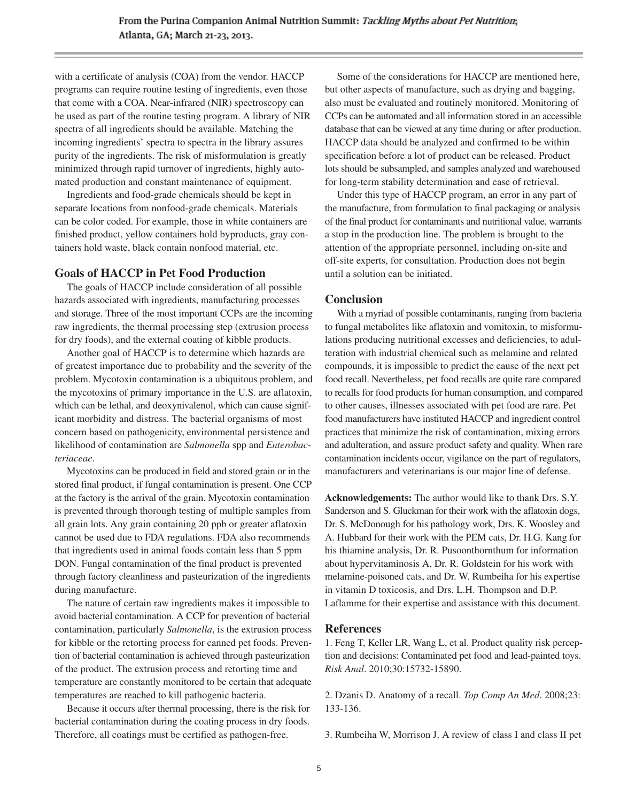with a certificate of analysis (COA) from the vendor. HACCP programs can require routine testing of ingredients, even those that come with a COA. Near-infrared (NIR) spectroscopy can be used as part of the routine testing program. A library of NIR spectra of all ingredients should be available. Matching the incoming ingredients' spectra to spectra in the library assures purity of the ingredients. The risk of misformulation is greatly minimized through rapid turnover of ingredients, highly automated production and constant maintenance of equipment.

Ingredients and food-grade chemicals should be kept in separate locations from nonfood-grade chemicals. Materials can be color coded. For example, those in white containers are finished product, yellow containers hold byproducts, gray containers hold waste, black contain nonfood material, etc.

# **Goals of HACCP in Pet Food Production**

The goals of HACCP include consideration of all possible hazards associated with ingredients, manufacturing processes and storage. Three of the most important CCPs are the incoming raw ingredients, the thermal processing step (extrusion process for dry foods), and the external coating of kibble products.

Another goal of HACCP is to determine which hazards are of greatest importance due to probability and the severity of the problem. Mycotoxin contamination is a ubiquitous problem, and the mycotoxins of primary importance in the U.S. are aflatoxin, which can be lethal, and deoxynivalenol, which can cause significant morbidity and distress. The bacterial organisms of most concern based on pathogenicity, environmental persistence and likelihood of contamination are *Salmonella* spp and *Enterobacteriaceae*.

Mycotoxins can be produced in field and stored grain or in the stored final product, if fungal contamination is present. One CCP at the factory is the arrival of the grain. Mycotoxin contamination is prevented through thorough testing of multiple samples from all grain lots. Any grain containing 20 ppb or greater aflatoxin cannot be used due to FDA regulations. FDA also recommends that ingredients used in animal foods contain less than 5 ppm DON. Fungal contamination of the final product is prevented through factory cleanliness and pasteurization of the ingredients during manufacture.

The nature of certain raw ingredients makes it impossible to avoid bacterial contamination. A CCP for prevention of bacterial contamination, particularly *Salmonella*, is the extrusion process for kibble or the retorting process for canned pet foods. Prevention of bacterial contamination is achieved through pasteurization of the product. The extrusion process and retorting time and temperature are constantly monitored to be certain that adequate temperatures are reached to kill pathogenic bacteria.

Because it occurs after thermal processing, there is the risk for bacterial contamination during the coating process in dry foods. Therefore, all coatings must be certified as pathogen-free.

Some of the considerations for HACCP are mentioned here, but other aspects of manufacture, such as drying and bagging, also must be evaluated and routinely monitored. Monitoring of CCPs can be automated and all information stored in an accessible database that can be viewed at any time during or after production. HACCP data should be analyzed and confirmed to be within specification before a lot of product can be released. Product lots should be subsampled, and samples analyzed and warehoused for long-term stability determination and ease of retrieval.

Under this type of HACCP program, an error in any part of the manufacture, from formulation to final packaging or analysis of the final product for contaminants and nutritional value, warrants a stop in the production line. The problem is brought to the attention of the appropriate personnel, including on-site and off-site experts, for consultation. Production does not begin until a solution can be initiated.

# **Conclusion**

With a myriad of possible contaminants, ranging from bacteria to fungal metabolites like aflatoxin and vomitoxin, to misformulations producing nutritional excesses and deficiencies, to adulteration with industrial chemical such as melamine and related compounds, it is impossible to predict the cause of the next pet food recall. Nevertheless, pet food recalls are quite rare compared to recalls for food products for human consumption, and compared to other causes, illnesses associated with pet food are rare. Pet food manufacturers have instituted HACCP and ingredient control practices that minimize the risk of contamination, mixing errors and adulteration, and assure product safety and quality. When rare contamination incidents occur, vigilance on the part of regulators, manufacturers and veterinarians is our major line of defense.

**Acknowledgements:** The author would like to thank Drs. S.Y. Sanderson and S. Gluckman for their work with the aflatoxin dogs, Dr. S. McDonough for his pathology work, Drs. K. Woosley and A. Hubbard for their work with the PEM cats, Dr. H.G. Kang for his thiamine analysis, Dr. R. Pusoonthornthum for information about hypervitaminosis A, Dr. R. Goldstein for his work with melamine-poisoned cats, and Dr. W. Rumbeiha for his expertise in vitamin D toxicosis, and Drs. L.H. Thompson and D.P. Laflamme for their expertise and assistance with this document.

# **References**

1. Feng T, Keller LR, Wang L, et al. Product quality risk perception and decisions: Contaminated pet food and lead-painted toys. *Risk Anal*. 2010;30:15732-15890.

2. Dzanis D. Anatomy of a recall. *Top Comp An Med*. 2008;23: 133-136.

3. Rumbeiha W, Morrison J. A review of class I and class II pet